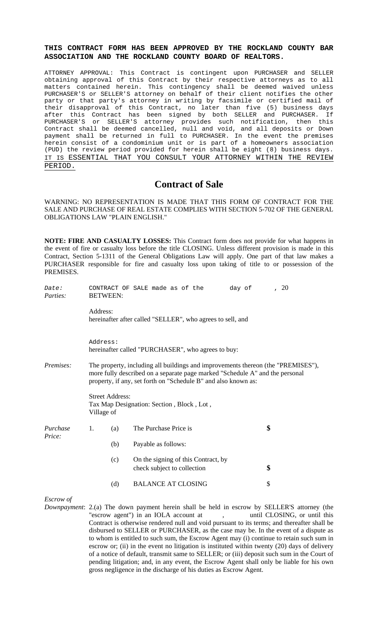# **THIS CONTRACT FORM HAS BEEN APPROVED BY THE ROCKLAND COUNTY BAR ASSOCIATION AND THE ROCKLAND COUNTY BOARD OF REALTORS.**

ATTORNEY APPROVAL: This Contract is contingent upon PURCHASER and SELLER obtaining approval of this Contract by their respective attorneys as to all matters contained herein. This contingency shall be deemed waived unless PURCHASER'S or SELLER'S attorney on behalf of their client notifies the other party or that party's attorney in writing by facsimile or certified mail of their disapproval of this Contract, no later than five (5) business days after this Contract has been signed by both SELLER and PURCHASER. If PURCHASER'S or SELLER'S attorney provides such notification, then this Contract shall be deemed cancelled, null and void, and all deposits or Down payment shall be returned in full to PURCHASER. In the event the premises herein consist of a condominium unit or is part of a homeowners association (PUD) the review period provided for herein shall be eight (8) business days. IT IS ESSENTIAL THAT YOU CONSULT YOUR ATTORNEY WITHIN THE REVIEW PERIOD.

# **Contract of Sale**

WARNING: NO REPRESENTATION IS MADE THAT THIS FORM OF CONTRACT FOR THE SALE AND PURCHASE OF REAL ESTATE COMPLIES WITH SECTION 5-702 OF THE GENERAL OBLIGATIONS LAW "PLAIN ENGLISH."

**NOTE: FIRE AND CASUALTY LOSSES:** This Contract form does not provide for what happens in the event of fire or casualty loss before the title CLOSING. Unless different provision is made in this Contract, Section 5-1311 of the General Obligations Law will apply. One part of that law makes a PURCHASER responsible for fire and casualty loss upon taking of title to or possession of the PREMISES.

| Date:<br>Parties:  | <b>BETWEEN:</b>                                                                                                                                                                                                                    |     | CONTRACT OF SALE made as of the                                                          | day of | , 20 |  |
|--------------------|------------------------------------------------------------------------------------------------------------------------------------------------------------------------------------------------------------------------------------|-----|------------------------------------------------------------------------------------------|--------|------|--|
|                    | Address:                                                                                                                                                                                                                           |     | hereinafter after called "SELLER", who agrees to sell, and                               |        |      |  |
|                    | Address:<br>hereinafter called "PURCHASER", who agrees to buy:                                                                                                                                                                     |     |                                                                                          |        |      |  |
| Premises:          | The property, including all buildings and improvements thereon (the "PREMISES"),<br>more fully described on a separate page marked "Schedule A" and the personal<br>property, if any, set forth on "Schedule B" and also known as: |     |                                                                                          |        |      |  |
|                    | <b>Street Address:</b><br>Tax Map Designation: Section, Block, Lot,<br>Village of                                                                                                                                                  |     |                                                                                          |        |      |  |
| Purchase<br>Price: | 1.                                                                                                                                                                                                                                 | (a) | The Purchase Price is                                                                    |        | \$   |  |
|                    |                                                                                                                                                                                                                                    | (b) | Payable as follows:                                                                      |        |      |  |
|                    |                                                                                                                                                                                                                                    | (c) | On the signing of this Contract, by<br>check subject to collection                       |        | \$   |  |
|                    |                                                                                                                                                                                                                                    | (d) | <b>BALANCE AT CLOSING</b>                                                                |        | \$   |  |
| Escrow of          |                                                                                                                                                                                                                                    |     | Downpayment: $2(a)$ The down payment berein shall be held in escrow by SELLER'S attorney |        |      |  |

*Downpayment*: 2.(a) The down payment herein shall be held in escrow by SELLER'S attorney (the "escrow agent") in an IOLA account at , until CLOSING, or until this Contract is otherwise rendered null and void pursuant to its terms; and thereafter shall be disbursed to SELLER or PURCHASER, as the case may be. In the event of a dispute as to whom is entitled to such sum, the Escrow Agent may (i) continue to retain such sum in escrow or; (ii) in the event no litigation is instituted within twenty (20) days of delivery of a notice of default, transmit same to SELLER; or (iii) deposit such sum in the Court of pending litigation; and, in any event, the Escrow Agent shall only be liable for his own gross negligence in the discharge of his duties as Escrow Agent.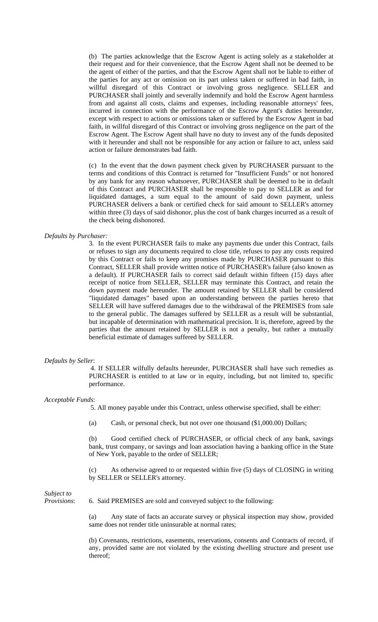(b) The parties acknowledge that the Escrow Agent is acting solely as a stakeholder at their request and for their convenience, that the Escrow Agent shall not be deemed to be the agent of either of the parties, and that the Escrow Agent shall not be liable to either of the parties for any act or omission on its part unless taken or suffered in bad faith, in willful disregard of this Contract or involving gross negligence. SELLER and PURCHASER shall jointly and severally indemnify and hold the Escrow Agent harmless from and against all costs, claims and expenses, including reasonable attorneys' fees, incurred in connection with the performance of the Escrow Agent's duties hereunder, except with respect to actions or omissions taken or suffered by the Escrow Agent in bad faith, in willful disregard of this Contract or involving gross negligence on the part of the Escrow Agent. The Escrow Agent shall have no duty to invest any of the funds deposited with it hereunder and shall not be responsible for any action or failure to act, unless said action or failure demonstrates bad faith.

(c) In the event that the down payment check given by PURCHASER pursuant to the terms and conditions of this Contract is returned for "Insufficient Funds" or not honored by any bank for any reason whatsoever, PURCHASER shall be deemed to be in default of this Contract and PURCHASER shall be responsible to pay to SELLER as and for liquidated damages, a sum equal to the amount of said down payment, unless PURCHASER delivers a bank or certified check for said amount to SELLER's attorney within three (3) days of said dishonor, plus the cost of bank charges incurred as a result of the check being dishonored.

### *Defaults by Purchaser:*

3. In the event PURCHASER fails to make any payments due under this Contract, fails or refuses to sign any documents required to close title, refuses to pay any costs required by this Contract or fails to keep any promises made by PURCHASER pursuant to this Contract, SELLER shall provide written notice of PURCHASER's failure (also known as a default). If PURCHASER fails to correct said default within fifteen (15) days after receipt of notice from SELLER, SELLER may terminate this Contract, and retain the down payment made hereunder. The amount retained by SELLER shall be considered "liquidated damages" based upon an understanding between the parties hereto that SELLER will have suffered damages due to the withdrawal of the PREMISES from sale to the general public. The damages suffered by SELLER as a result will be substantial, but incapable of determination with mathematical precision. It is, therefore, agreed by the parties that the amount retained by SELLER is not a penalty, but rather a mutually beneficial estimate of damages suffered by SELLER.

#### *Defaults by Seller*:

 4. If SELLER wilfully defaults hereunder, PURCHASER shall have such remedies as PURCHASER is entitled to at law or in equity, including, but not limited to, specific performance.

### *Acceptable Funds*:

5. All money payable under this Contract, unless otherwise specified, shall be either:

(a) Cash, or personal check, but not over one thousand (\$1,000.00) Dollars;

(b) Good certified check of PURCHASER, or official check of any bank, savings bank, trust company, or savings and loan association having a banking office in the State of New York, payable to the order of SELLER;

(c) As otherwise agreed to or requested within five (5) days of CLOSING in writing by SELLER or SELLER's attorney.

*Subject to* 

*Provisions*: 6. Said PREMISES are sold and conveyed subject to the following:

(a) Any state of facts an accurate survey or physical inspection may show, provided same does not render title uninsurable at normal rates;

(b) Covenants, restrictions, easements, reservations, consents and Contracts of record, if any, provided same are not violated by the existing dwelling structure and present use thereof;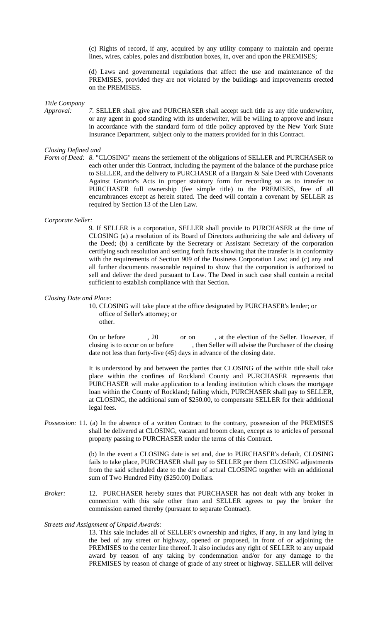(c) Rights of record, if any, acquired by any utility company to maintain and operate lines, wires, cables, poles and distribution boxes, in, over and upon the PREMISES;

(d) Laws and governmental regulations that affect the use and maintenance of the PREMISES, provided they are not violated by the buildings and improvements erected on the PREMISES.

*Title Company* 

*Approval: 7.* SELLER shall give and PURCHASER shall accept such title as any title underwriter, or any agent in good standing with its underwriter, will be willing to approve and insure in accordance with the standard form of title policy approved by the New York State Insurance Department, subject only to the matters provided for in this Contract.

### *Closing Defined and*

*Form of Deed: 8.* "CLOSING" means the settlement of the obligations of SELLER and PURCHASER to each other under this Contract, including the payment of the balance of the purchase price to SELLER, and the delivery to PURCHASER of a Bargain & Sale Deed with Covenants Against Grantor's Acts in proper statutory form for recording so as to transfer to PURCHASER full ownership (fee simple title) to the PREMISES, free of all encumbrances except as herein stated. The deed will contain a covenant by SELLER as required by Section 13 of the Lien Law.

### *Corporate Seller:*

9. If SELLER is a corporation, SELLER shall provide to PURCHASER at the time of CLOSING (a) a resolution of its Board of Directors authorizing the sale and delivery of the Deed; (b) a certificate by the Secretary or Assistant Secretary of the corporation certifying such resolution and setting forth facts showing that the transfer is in conformity with the requirements of Section 909 of the Business Corporation Law; and (c) any and all further documents reasonable required to show that the corporation is authorized to sell and deliver the deed pursuant to Law. The Deed in such case shall contain a recital sufficient to establish compliance with that Section.

### *Closing Date and Place:*

 10. CLOSING will take place at the office designated by PURCHASER's lender; or office of Seller's attorney; or other.

On or before  $\qquad$ , 20 or on , at the election of the Seller. However, if closing is to occur on or before , then Seller will advise the Purchaser of the closing date not less than forty-five (45) days in advance of the closing date.

It is understood by and between the parties that CLOSING of the within title shall take place within the confines of Rockland County and PURCHASER represents that PURCHASER will make application to a lending institution which closes the mortgage loan within the County of Rockland; failing which, PURCHASER shall pay to SELLER, at CLOSING, the additional sum of \$250.00, to compensate SELLER for their additional legal fees.

*Possession:* 11. (a) In the absence of a written Contract to the contrary, possession of the PREMISES shall be delivered at CLOSING, vacant and broom clean, except as to articles of personal property passing to PURCHASER under the terms of this Contract.

> (b) In the event a CLOSING date is set and, due to PURCHASER's default, CLOSING fails to take place, PURCHASER shall pay to SELLER per them CLOSING adjustments from the said scheduled date to the date of actual CLOSING together with an additional sum of Two Hundred Fifty (\$250.00) Dollars.

*Broker:* 12. PURCHASER hereby states that PURCHASER has not dealt with any broker in connection with this sale other than and SELLER agrees to pay the broker the commission earned thereby (pursuant to separate Contract).

#### *Streets and Assignment of Unpaid Awards:*

13. This sale includes all of SELLER's ownership and rights, if any, in any land lying in the bed of any street or highway, opened or proposed, in front of or adjoining the PREMISES to the center line thereof. It also includes any right of SELLER to any unpaid award by reason of any taking by condemnation and/or for any damage to the PREMISES by reason of change of grade of any street or highway. SELLER will deliver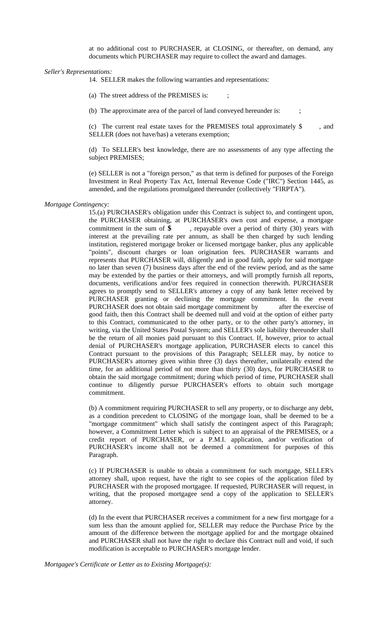at no additional cost to PURCHASER, at CLOSING, or thereafter, on demand, any documents which PURCHASER may require to collect the award and damages.

*Seller's Representations:* 

14. SELLER makes the following warranties and representations:

(a) The street address of the PREMISES is: ;

(b) The approximate area of the parcel of land conveyed hereunder is: ;

(c) The current real estate taxes for the PREMISES total approximately \$ , and SELLER (does not have/has) a veterans exemption;

(d) To SELLER's best knowledge, there are no assessments of any type affecting the subject PREMISES;

(e) SELLER is not a "foreign person," as that term is defined for purposes of the Foreign Investment in Real Property Tax Act, Internal Revenue Code ("IRC") Section 1445, as amended, and the regulations promulgated thereunder (collectively "FIRPTA").

### *Mortgage Contingency:*

15.(a) PURCHASER's obligation under this Contract is subject to, and contingent upon, the PURCHASER obtaining, at PURCHASER's own cost and expense, a mortgage commitment in the sum of  $\$ g  $\,$ , repayable over a period of thirty (30) years with interest at the prevailing rate per annum, as shall be then charged by such lending institution, registered mortgage broker or licensed mortgage banker, plus any applicable "points", discount charges or loan origination fees. PURCHASER warrants and represents that PURCHASER will, diligently and in good faith, apply for said mortgage no later than seven (7) business days after the end of the review period, and as the same may be extended by the parties or their attorneys, and will promptly furnish all reports, documents, verifications and/or fees required in connection therewith. PURCHASER agrees to promptly send to SELLER's attorney a copy of any bank letter received by PURCHASER granting or declining the mortgage commitment. In the event PURCHASER does not obtain said mortgage commitment by after the exercise of good faith, then this Contract shall be deemed null and void at the option of either party to this Contract, communicated to the other party, or to the other party's attorney, in writing, via the United States Postal System; and SELLER's sole liability thereunder shall be the return of all monies paid pursuant to this Contract. If, however, prior to actual denial of PURCHASER's mortgage application, PURCHASER elects to cancel this Contract pursuant to the provisions of this Paragraph; SELLER may, by notice to PURCHASER's attorney given within three (3) days thereafter, unilaterally extend the time, for an additional period of not more than thirty (30) days, for PURCHASER to obtain the said mortgage commitment; during which period of time, PURCHASER shall continue to diligently pursue PURCHASER's efforts to obtain such mortgage commitment.

(b) A commitment requiring PURCHASER to sell any property, or to discharge any debt, as a condition precedent to CLOSING of the mortgage loan, shall be deemed to be a "mortgage commitment" which shall satisfy the contingent aspect of this Paragraph; however, a Commitment Letter which is subject to an appraisal of the PREMISES, or a credit report of PURCHASER, or a P.M.I. application, and/or verification of PURCHASER's income shall not be deemed a commitment for purposes of this Paragraph.

(c) If PURCHASER is unable to obtain a commitment for such mortgage, SELLER's attorney shall, upon request, have the right to see copies of the application filed by PURCHASER with the proposed mortgagee. If requested, PURCHASER will request, in writing, that the proposed mortgagee send a copy of the application to SELLER's attorney.

(d) In the event that PURCHASER receives a commitment for a new first mortgage for a sum less than the amount applied for, SELLER may reduce the Purchase Price by the amount of the difference between the mortgage applied for and the mortgage obtained and PURCHASER shall not have the right to declare this Contract null and void, if such modification is acceptable to PURCHASER's mortgage lender.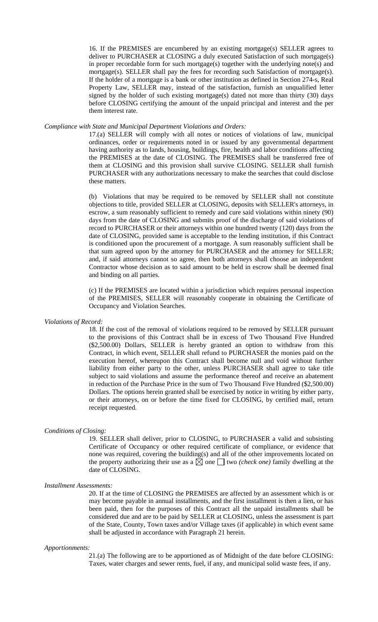16. If the PREMISES are encumbered by an existing mortgage(s) SELLER agrees to deliver to PURCHASER at CLOSING a duly executed Satisfaction of such mortgage(s) in proper recordable form for such mortgage(s) together with the underlying note(s) and mortgage(s). SELLER shall pay the fees for recording such Satisfaction of mortgage(s). If the holder of a mortgage is a bank or other institution as defined in Section 274-s, Real Property Law, SELLER may, instead of the satisfaction, furnish an unqualified letter signed by the holder of such existing mortgage(s) dated not more than thirty  $(30)$  days before CLOSING certifying the amount of the unpaid principal and interest and the per them interest rate.

### *Compliance with State and Municipal Department Violations and Orders:*

17.(a) SELLER will comply with all notes or notices of violations of law, municipal ordinances, order or requirements noted in or issued by any governmental department having authority as to lands, housing, buildings, fire, health and labor conditions affecting the PREMISES at the date of CLOSING. The PREMISES shall be transferred free of them at CLOSING and this provision shall survive CLOSING. SELLER shall furnish PURCHASER with any authorizations necessary to make the searches that could disclose these matters.

(b) Violations that may be required to be removed by SELLER shall not constitute objections to title, provided SELLER at CLOSING, deposits with SELLER's attorneys, in escrow, a sum reasonably sufficient to remedy and cure said violations within ninety (90) days from the date of CLOSING and submits proof of the discharge of said violations of record to PURCHASER or their attorneys within one hundred twenty (120) days from the date of CLOSING, provided same is acceptable to the lending institution, if this Contract is conditioned upon the procurement of a mortgage. A sum reasonably sufficient shall be that sum agreed upon by the attorney for PURCHASER and the attorney for SELLER; and, if said attorneys cannot so agree, then both attorneys shall choose an independent Contractor whose decision as to said amount to be held in escrow shall be deemed final and binding on all parties.

(c) If the PREMISES are located within a jurisdiction which requires personal inspection of the PREMISES, SELLER will reasonably cooperate in obtaining the Certificate of Occupancy and Violation Searches.

#### *Violations of Record:*

18. If the cost of the removal of violations required to be removed by SELLER pursuant to the provisions of this Contract shall be in excess of Two Thousand Five Hundred (\$2,500.00) Dollars, SELLER is hereby granted an option to withdraw from this Contract, in which event, SELLER shall refund to PURCHASER the monies paid on the execution hereof, whereupon this Contract shall become null and void without further liability from either party to the other, unless PURCHASER shall agree to take title subject to said violations and assume the performance thereof and receive an abatement in reduction of the Purchase Price in the sum of Two Thousand Five Hundred (\$2,500.00) Dollars. The options herein granted shall be exercised by notice in writing by either party, or their attorneys, on or before the time fixed for CLOSING, by certified mail, return receipt requested.

### *Conditions of Closing:*

19. SELLER shall deliver, prior to CLOSING, to PURCHASER a valid and subsisting Certificate of Occupancy or other required certificate of compliance, or evidence that none was required, covering the building(s) and all of the other improvements located on the property authorizing their use as a  $\boxtimes$  one  $\Box$  two *(check one)* family dwelling at the date of CLOSING.

### *Installment Assessments:*

20. If at the time of CLOSING the PREMISES are affected by an assessment which is or may become payable in annual installments, and the first installment is then a lien, or has been paid, then for the purposes of this Contract all the unpaid installments shall be considered due and are to be paid by SELLER at CLOSING, unless the assessment is part of the State, County, Town taxes and/or Village taxes (if applicable) in which event same shall be adjusted in accordance with Paragraph 21 herein.

#### *Apportionments:*

21.(a) The following are to be apportioned as of Midnight of the date before CLOSING: Taxes, water charges and sewer rents, fuel, if any, and municipal solid waste fees, if any.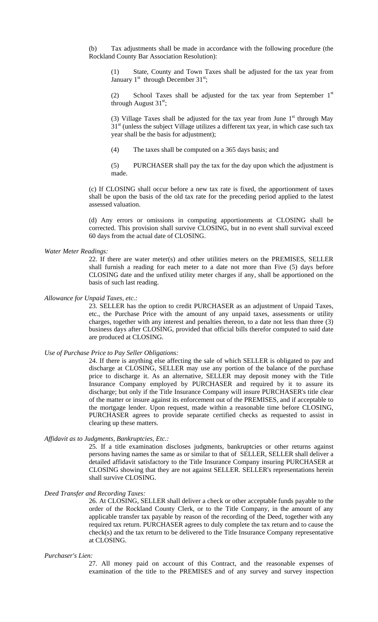(b) Tax adjustments shall be made in accordance with the following procedure (the Rockland County Bar Association Resolution):

(1) State, County and Town Taxes shall be adjusted for the tax year from January  $1<sup>st</sup>$  through December  $31<sup>st</sup>$ ;

(2) School Taxes shall be adjusted for the tax year from September  $1<sup>st</sup>$ through August  $31<sup>st</sup>$ ;

(3) Village Taxes shall be adjusted for the tax year from June  $1<sup>st</sup>$  through May  $31<sup>st</sup>$  (unless the subject Village utilizes a different tax year, in which case such tax year shall be the basis for adjustment);

(4) The taxes shall be computed on a 365 days basis; and

(5) PURCHASER shall pay the tax for the day upon which the adjustment is made.

(c) If CLOSING shall occur before a new tax rate is fixed, the apportionment of taxes shall be upon the basis of the old tax rate for the preceding period applied to the latest assessed valuation.

(d) Any errors or omissions in computing apportionments at CLOSING shall be corrected. This provision shall survive CLOSING, but in no event shall survival exceed 60 days from the actual date of CLOSING.

### *Water Meter Readings:*

22. If there are water meter(s) and other utilities meters on the PREMISES, SELLER shall furnish a reading for each meter to a date not more than Five (5) days before CLOSING date and the unfixed utility meter charges if any, shall be apportioned on the basis of such last reading.

*Allowance for Unpaid Taxes, etc.:*

23. SELLER has the option to credit PURCHASER as an adjustment of Unpaid Taxes, etc., the Purchase Price with the amount of any unpaid taxes, assessments or utility charges, together with any interest and penalties thereon, to a date not less than three (3) business days after CLOSING, provided that official bills therefor computed to said date are produced at CLOSING.

*Use of Purchase Price to Pay Seller Obligations:*

24. If there is anything else affecting the sale of which SELLER is obligated to pay and discharge at CLOSING, SELLER may use any portion of the balance of the purchase price to discharge it. As an alternative, SELLER may deposit money with the Title Insurance Company employed by PURCHASER and required by it to assure its discharge; but only if the Title Insurance Company will insure PURCHASER's title clear of the matter or insure against its enforcement out of the PREMISES, and if acceptable to the mortgage lender. Upon request, made within a reasonable time before CLOSING, PURCHASER agrees to provide separate certified checks as requested to assist in clearing up these matters.

#### *Affidavit as to Judgments, Bankruptcies, Etc.:*

25*.* If a title examination discloses judgments, bankruptcies or other returns against persons having names the same as or similar to that of SELLER, SELLER shall deliver a detailed affidavit satisfactory to the Title Insurance Company insuring PURCHASER at CLOSING showing that they are not against SELLER. SELLER's representations herein shall survive CLOSING.

# *Deed Transfer and Recording Taxes:*

26. At CLOSING, SELLER shall deliver a check or other acceptable funds payable to the order of the Rockland County Clerk, or to the Title Company, in the amount of any applicable transfer tax payable by reason of the recording of the Deed, together with any required tax return. PURCHASER agrees to duly complete the tax return and to cause the check(s) and the tax return to be delivered to the Title Insurance Company representative at CLOSING.

#### *Purchaser's Lien:*

27*.* All money paid on account of this Contract, and the reasonable expenses of examination of the title to the PREMISES and of any survey and survey inspection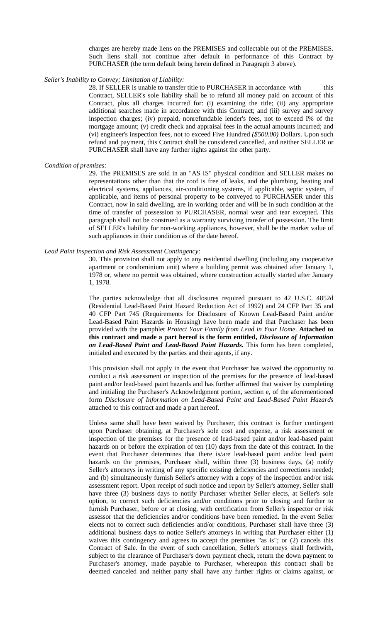charges are hereby made liens on the PREMISES and collectable out of the PREMISES. Such liens shall not continue after default in performance of this Contract by PURCHASER (the term default being herein defined in Paragraph 3 above).

### *Seller's Inability to Convey; Limitation of Liability:*

28. If SELLER is unable to transfer title to PURCHASER in accordance with this Contract, SELLER's sole liability shall be to refund all money paid on account of this Contract, plus all charges incurred for: (i) examining the title; (ii) any appropriate additional searches made in accordance with this Contract; and (iii) survey and survey inspection charges; (iv) prepaid, nonrefundable lender's fees, not to exceed I% of the mortgage amount; (v) credit check and appraisal fees in the actual amounts incurred; and (vi) engineer's inspection fees, not to exceed Five Hundred *(\$500.00)* Dollars. Upon such refund and payment, this Contract shall be considered cancelled, and neither SELLER or PURCHASER shall have any further rights against the other party.

### *Condition of premises:*

29. The PREMISES are sold in an "AS IS" physical condition and SELLER makes no representations other than that the roof is free of leaks, and the plumbing, heating and electrical systems, appliances, air-conditioning systems, if applicable, septic system, if applicable, and items of personal property to be conveyed to PURCHASER under this Contract, now in said dwelling, are in working order and will be in such condition at the time of transfer of possession to PURCHASER, normal wear and tear excepted. This paragraph shall not be construed as a warranty surviving transfer of possession. The limit of SELLER's liability for non-working appliances, however, shall be the market value of such appliances in their condition as of the date hereof.

### *Lead Paint Inspection and Risk Assessment Contingency:*

30. This provision shall not apply to any residential dwelling (including any cooperative apartment or condominium unit) where a building permit was obtained after January 1, 1978 or, where no permit was obtained, where construction actually started after January 1, 1978.

The parties acknowledge that all disclosures required pursuant to 42 U.S.C. 4852d (Residential Lead-Based Paint Hazard Reduction Act of 1992) and 24 CFP Part 35 and 40 CFP Part 745 (Requirements for Disclosure of Known Lead-Based Paint and/or Lead-Based Paint Hazards in Housing) have been made and that Purchaser has been provided with the pamphlet *Protect Your Family from Lead in Your Home.* **Attached to this contract and made a part hereof is the form entitled,** *Disclosure of Information on Lead-Based Paint and Lead-Based Paint Hazards.* This form has been completed, initialed and executed by the parties and their agents, if any.

This provision shall not apply in the event that Purchaser has waived the opportunity to conduct a risk assessment or inspection of the premises for the presence of lead-based paint and/or lead-based paint hazards and has further affirmed that waiver by completing and initialing the Purchaser's Acknowledgment portion, section e, of the aforementioned form *Disclosure of Information on Lead-Based Paint and Lead-Based Paint Hazards*  attached to this contract and made a part hereof.

Unless same shall have been waived by Purchaser, this contract is further contingent upon Purchaser obtaining, at Purchaser's sole cost and expense, a risk assessment or inspection of the premises for the presence of lead-based paint and/or lead-based paint hazards on or before the expiration of ten (10) days from the date of this contract. In the event that Purchaser determines that there is/are lead-based paint and/or lead paint hazards on the premises, Purchaser shall, within three (3) business days, (a) notify Seller's attorneys in writing of any specific existing deficiencies and corrections needed; and (b) simultaneously furnish Seller's attorney with a copy of the inspection and/or risk assessment report. Upon receipt of such notice and report by Seller's attorney, Seller shall have three (3) business days to notify Purchaser whether Seller elects, at Seller's sole option, to correct such deficiencies and/or conditions prior to closing and further to furnish Purchaser, before or at closing, with certification from Seller's inspector or risk assessor that the deficiencies and/or conditions have been remedied. In the event Seller elects not to correct such deficiencies and/or conditions, Purchaser shall have three (3) additional business days to notice Seller's attorneys in writing that Purchaser either (1) waives this contingency and agrees to accept the premises "as is"; or (2) cancels this Contract of Sale. In the event of such cancellation, Seller's attorneys shall forthwith, subject to the clearance of Purchaser's down payment check, return the down payment to Purchaser's attorney, made payable to Purchaser, whereupon this contract shall be deemed canceled and neither party shall have any further rights or claims against, or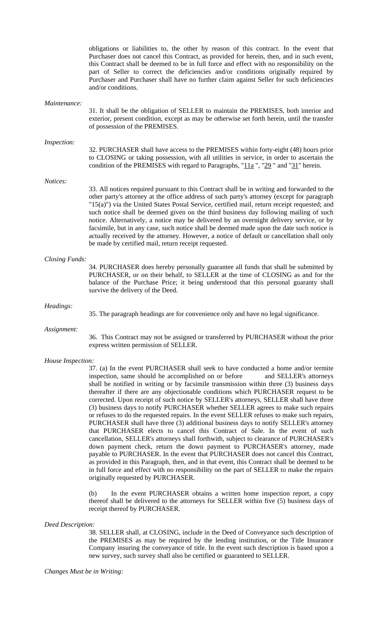obligations or liabilities to, the other by reason of this contract. In the event that Purchaser does not cancel this Contract, as provided for herein, then, and in such event, this Contract shall be deemed to be in full force and effect with no responsibility on the part of Seller to correct the deficiencies and/or conditions originally required by Purchaser and Purchaser shall have no further claim against Seller for such deficiencies and/or conditions.

#### *Maintenance:*

31. It shall be the obligation of SELLER to maintain the PREMISES, both interior and exterior, present condition, except as may be otherwise set forth herein, until the transfer of possession of the PREMISES.

#### *Inspection:*

32. PURCHASER shall have access to the PREMISES within forty-eight (48) hours prior to CLOSING or taking possession, with all utilities in service, in order to ascertain the condition of the PREMISES with regard to Paragraphs, " $11a$ ", " $29$ " and " $31$ " herein.

#### *Notices:*

33. All notices required pursuant to this Contract shall be in writing and forwarded to the other party's attorney at the office address of such party's attorney (except for paragraph "15(a)") via the United States Postal Service, certified mail, return receipt requested; and such notice shall be deemed given on the third business day following mailing of such notice. Alternatively, a notice may be delivered by an overnight delivery service, or by facsimile, but in any case, such notice shall be deemed made upon the date such notice is actually received by the attorney. However, a notice of default or cancellation shall only be made by certified mail, return receipt requested.

#### *Closing Funds:*

34. PURCHASER does hereby personally guarantee all funds that shall be submitted by PURCHASER, or on their behalf, to SELLER at the time of CLOSING as and for the balance of the Purchase Price; it being understood that this personal guaranty shall survive the delivery of the Deed.

#### *Headings:*

35. The paragraph headings are for convenience only and have no legal significance.

### *Assignment:*

36. This Contract may not be assigned or transferred by PURCHASER without the prior express written permission of SELLER.

#### *House Inspection:*

37. (a) In the event PURCHASER shall seek to have conducted a home and/or termite inspection, same should be accomplished on or before and SELLER's attorneys shall be notified in writing or by facsimile transmission within three (3) business days thereafter if there are any objectionable conditions which PURCHASER request to be corrected. Upon receipt of such notice by SELLER's attorneys, SELLER shall have three (3) business days to notify PURCHASER whether SELLER agrees to make such repairs or refuses to do the requested repairs. In the event SELLER refuses to make such repairs, PURCHASER shall have three (3) additional business days to notify SELLER's attorney that PURCHASER elects to cancel this Contract of Sale. In the event of such cancellation, SELLER's attorneys shall forthwith, subject to clearance of PURCHASER's down payment check, return the down payment to PURCHASER's attorney, made payable to PURCHASER. In the event that PURCHASER does not cancel this Contract, as provided in this Paragraph, then, and in that event, this Contract shall be deemed to be in full force and effect with no responsibility on the part of SELLER to make the repairs originally requested by PURCHASER.

(b) In the event PURCHASER obtains a written home inspection report, a copy thereof shall be delivered to the attorneys for SELLER within five (5) business days of receipt thereof by PURCHASER.

#### *Deed Description:*

38. SELLER shall, at CLOSING, include in the Deed of Conveyance such description of the PREMISES as may be required by the lending institution, or the Title Insurance Company insuring the conveyance of title. In the event such description is based upon a new survey, such survey shall also be certified or guaranteed to SELLER.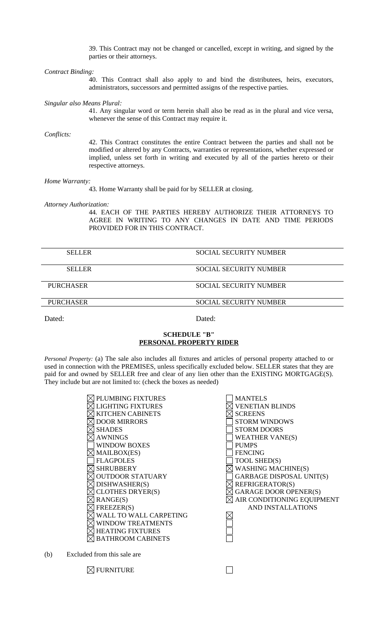39. This Contract may not be changed or cancelled, except in writing, and signed by the parties or their attorneys.

*Contract Binding:* 

40. This Contract shall also apply to and bind the distributees, heirs, executors, administrators, successors and permitted assigns of the respective parties.

*Singular also Means Plural:* 

41. Any singular word or term herein shall also be read as in the plural and vice versa, whenever the sense of this Contract may require it.

*Conflicts:* 

42. This Contract constitutes the entire Contract between the parties and shall not be modified or altered by any Contracts, warranties or representations, whether expressed or implied, unless set forth in writing and executed by all of the parties hereto or their respective attorneys.

*Home Warranty:* 

43*.* Home Warranty shall be paid for by SELLER at closing.

*Attorney Authorization:* 

44*.* EACH OF THE PARTIES HEREBY AUTHORIZE THEIR ATTORNEYS TO AGREE IN WRITING TO ANY CHANGES IN DATE AND TIME PERIODS PROVIDED FOR IN THIS CONTRACT.

| <b>SELLER</b>    | SOCIAL SECURITY NUMBER        |
|------------------|-------------------------------|
| <b>SELLER</b>    | <b>SOCIAL SECURITY NUMBER</b> |
| <b>PURCHASER</b> | SOCIAL SECURITY NUMBER        |
| <b>PURCHASER</b> | <b>SOCIAL SECURITY NUMBER</b> |
|                  |                               |

Dated: Dated: Dated:

# **SCHEDULE "B" PERSONAL PROPERTY RIDER**

*Personal Property:* (a) The sale also includes all fixtures and articles of personal property attached to or used in connection with the PREMISES, unless specifically excluded below. SELLER states that they are paid for and owned by SELLER free and clear of any lien other than the EXISTING MORTGAGE(S). They include but are not limited to: (check the boxes as needed)

| <b>PLUMBING FIXTURES</b> |
|--------------------------|
| <b>LIGHTING FIXTURES</b> |
| <b>KITCHEN CABINETS</b>  |
| <b>DOOR MIRRORS</b>      |
| <b>SHADES</b>            |
| <b>AWNINGS</b>           |
| WINDOW BOXES             |
| MAILBOX(ES)              |
| <b>FLAGPOLES</b>         |
| <b>SHRUBBERY</b>         |
| <b>OUTDOOR STATUARY</b>  |
| DISHWASHER(S)            |
| <b>CLOTHES DRYER(S)</b>  |
| RANGE(S)                 |
| FREEZER(S)               |
| WALL TO WALL CARPETING   |
| <b>WINDOW TREATMENTS</b> |
| <b>HEATING FIXTURES</b>  |
| BATHROOM CABINETS        |

|  | <b>MANTELS</b>                  |
|--|---------------------------------|
|  | <b>VENETIAN BLINDS</b>          |
|  | <b>SCREENS</b>                  |
|  | <b>STORM WINDOWS</b>            |
|  | <b>STORM DOORS</b>              |
|  | <b>WEATHER VANE(S)</b>          |
|  | <b>PUMPS</b>                    |
|  | <b>FENCING</b>                  |
|  | TOOL SHED(S)                    |
|  | <b>WASHING MACHINE(S)</b>       |
|  | <b>GARBAGE DISPOSAL UNIT(S)</b> |
|  | REFRIGERATOR(S)                 |
|  | <b>GARAGE DOOR OPENER(S)</b>    |
|  | AIR CONDITIONING EQUIPMENT      |
|  | AND INSTALLATIONS               |
|  |                                 |
|  |                                 |
|  |                                 |
|  |                                 |
|  |                                 |
|  |                                 |

(b) Excluded from this sale are

 $\boxtimes$  FURNITURE

П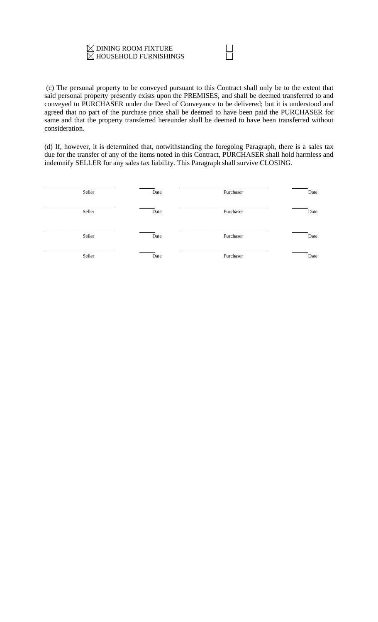# $\boxtimes$  DINING ROOM FIXTURE  $\boxtimes$  HOUSEHOLD FURNISHINGS

 (c) The personal property to be conveyed pursuant to this Contract shall only be to the extent that said personal property presently exists upon the PREMISES, and shall be deemed transferred to and conveyed to PURCHASER under the Deed of Conveyance to be delivered; but it is understood and agreed that no part of the purchase price shall be deemed to have been paid the PURCHASER for same and that the property transferred hereunder shall be deemed to have been transferred without consideration.

(d) If, however, it is determined that, notwithstanding the foregoing Paragraph, there is a sales tax due for the transfer of any of the items noted in this Contract, PURCHASER shall hold harmless and indemnify SELLER for any sales tax liability. This Paragraph shall survive CLOSING.

| Seller | Date | Purchaser | Date |
|--------|------|-----------|------|
| Seller | Date | Purchaser | Date |
| Seller | Date | Purchaser | Date |
| Seller | Date | Purchaser | Date |